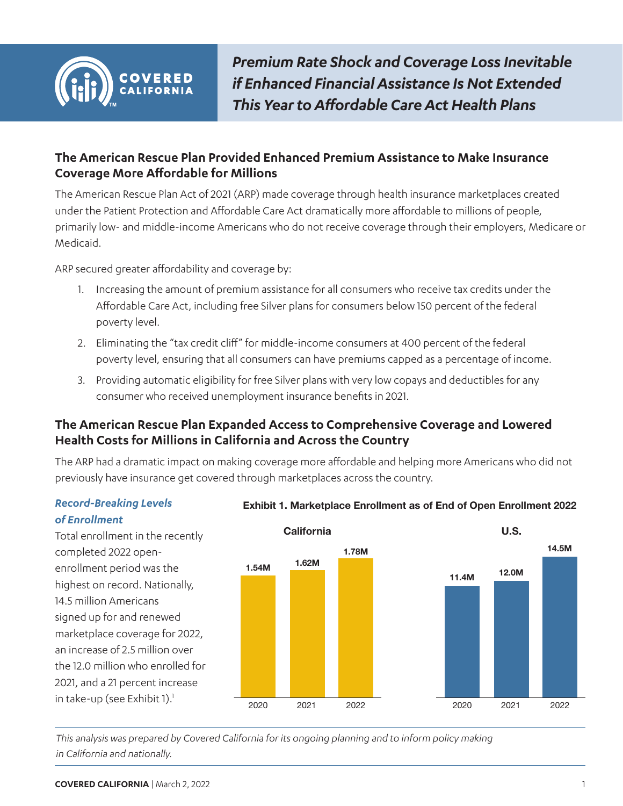<span id="page-0-0"></span>

*Premium Rate Shock and Coverage Loss Inevitable if Enhanced Financial Assistance Is Not Extended This Year to Affordable Care Act Health Plans*

# **The American Rescue Plan Provided Enhanced Premium Assistance to Make Insurance Coverage More Affordable for Millions**

The American Rescue Plan Act of 2021 (ARP) made coverage through health insurance marketplaces created under the Patient Protection and Affordable Care Act dramatically more affordable to millions of people, primarily low- and middle-income Americans who do not receive coverage through their employers, Medicare or Medicaid.

ARP secured greater affordability and coverage by:

- 1. Increasing the amount of premium assistance for all consumers who receive tax credits under the Affordable Care Act, including free Silver plans for consumers below 150 percent of the federal poverty level.
- 2. Eliminating the "tax credit cliff" for middle-income consumers at 400 percent of the federal poverty level, ensuring that all consumers can have premiums capped as a percentage of income.
- 3. Providing automatic eligibility for free Silver plans with very low copays and deductibles for any consumer who received unemployment insurance benefits in 2021.

# **The American Rescue Plan Expanded Access to Comprehensive Coverage and Lowered Health Costs for Millions in California and Across the Country**

The ARP had a dramatic impact on making coverage more affordable and helping more Americans who did not previously have insurance get covered through marketplaces across the country.

### *Record-Breaking Levels of Enrollment*

Total enrollment in the recently completed 2022 openenrollment period was the highest on record. Nationally, 14.5 million Americans signed up for and renewed marketplace coverage for 2022, an increase of 2.5 million over the 12.0 million who enrolled for 2021, and a 21 percent increase in take-up (see Exhibit 1). $<sup>1</sup>$ </sup>



## **Exhibit 1. Marketplace Enrollment as of End of Open Enrollment 2022**

*This analysis was prepared by Covered California for its ongoing planning and to inform policy making in California and nationally.*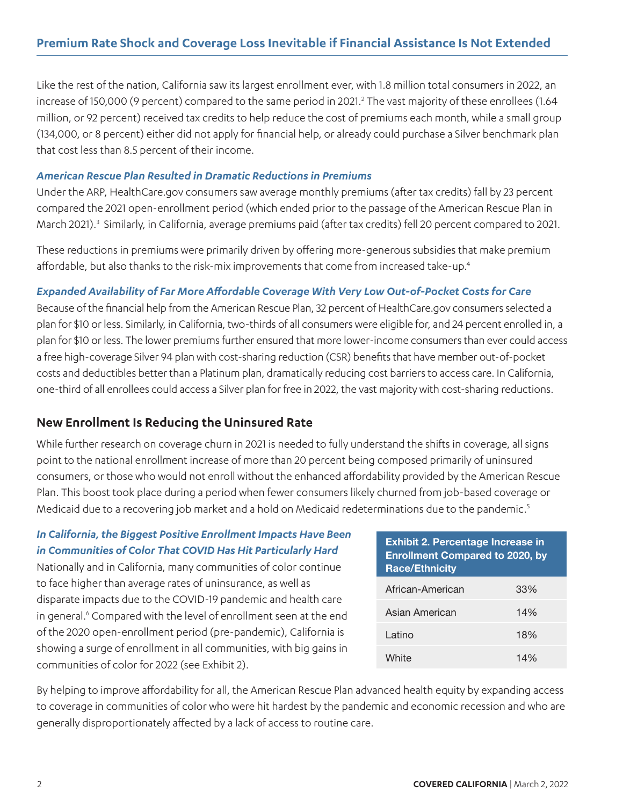<span id="page-1-0"></span>Like the rest of the nation, California saw its largest enrollment ever, with 1.8 million total consumers in 2022, an increase of 150,000 (9 percent) compared to the same period in 2021.<sup>2</sup> The vast majority of these enrollees (1.64 million, or 92 percent) received tax credits to help reduce the cost of premiums each month, while a small group (134,000, or 8 percent) either did not apply for financial help, or already could purchase a Silver benchmark plan that cost less than 8.5 percent of their income.

### *American Rescue Plan Resulted in Dramatic Reductions in Premiums*

Under the ARP, HealthCare.gov consumers saw average monthly premiums (after tax credits) fall by 23 percent compared the 2021 open-enrollment period (which ended prior to the passage of the American Rescue Plan in March 2021).<sup>[3](#page-6-0)</sup> Similarly, in California, average premiums paid (after tax credits) fell 20 percent compared to 2021.

These reductions in premiums were primarily driven by offering more-generous subsidies that make premium affordable, but also thanks to the risk-mix improvements that come from increased take-up[.4](#page-6-0)

## *Expanded Availability of Far More Affordable Coverage With Very Low Out-of-Pocket Costs for Care*

Because of the financial help from the American Rescue Plan, 32 percent of HealthCare.gov consumers selected a plan for \$10 or less. Similarly, in California, two-thirds of all consumers were eligible for, and 24 percent enrolled in, a plan for \$10 or less. The lower premiums further ensured that more lower-income consumers than ever could access a free high-coverage Silver 94 plan with cost-sharing reduction (CSR) benefits that have member out-of-pocket costs and deductibles better than a Platinum plan, dramatically reducing cost barriers to access care. In California, one-third of all enrollees could access a Silver plan for free in 2022, the vast majority with cost-sharing reductions.

# **New Enrollment Is Reducing the Uninsured Rate**

While further research on coverage churn in 2021 is needed to fully understand the shifts in coverage, all signs point to the national enrollment increase of more than 20 percent being composed primarily of uninsured consumers, or those who would not enroll without the enhanced affordability provided by the American Rescue Plan. This boost took place during a period when fewer consumers likely churned from job-based coverage or Medicaid due to a recovering job market and a hold on Medicaid redeterminations due to the pandemic.<sup>[5](#page-6-0)</sup>

## *In California, the Biggest Positive Enrollment Impacts Have Been in Communities of Color That COVID Has Hit Particularly Hard*

Nationally and in California, many communities of color continue to face higher than average rates of uninsurance, as well as disparate impacts due to the COVID-19 pandemic and health care in general.<sup>6</sup> Compared with the level of enrollment seen at the end of the 2020 open-enrollment period (pre-pandemic), California is showing a surge of enrollment in all communities, with big gains in communities of color for 2022 (see Exhibit 2).

| <b>Exhibit 2. Percentage Increase in</b><br><b>Enrollment Compared to 2020, by</b><br><b>Race/Ethnicity</b> |     |
|-------------------------------------------------------------------------------------------------------------|-----|
| African-American                                                                                            | 33% |
| Asian American                                                                                              | 14% |
| Latino                                                                                                      | 18% |
| White                                                                                                       | 14% |

By helping to improve affordability for all, the American Rescue Plan advanced health equity by expanding access to coverage in communities of color who were hit hardest by the pandemic and economic recession and who are generally disproportionately affected by a lack of access to routine care.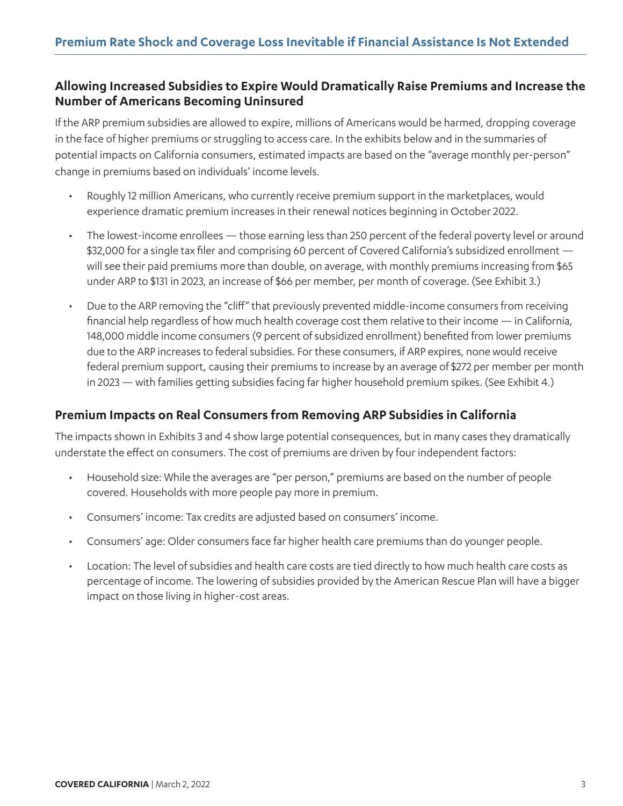# **Allowing Increased Subsidies to Expire Would Dramatically Raise Premiums and Increase the Number of Americans Becoming Uninsured**

If the ARP premium subsidies are allowed to expire, millions of Americans would be harmed, dropping coverage in the face of higher premiums or struggling to access care. In the exhibits below and in the summaries of potential impacts on California consumers, estimated impacts are based on the "average monthly per-person" change in premiums based on individuals' income levels.

- Roughly 12 million Americans, who currently receive premium support in the marketplaces, would experience dramatic premium increases in their renewal notices beginning in October 2022.
- The lowest-income enrollees those earning less than 250 percent of the federal poverty level or around \$32,000 for a single tax filer and comprising 60 percent of Covered California's subsidized enrollment will see their paid premiums more than double, on average, with monthly premiums increasing from \$65 under ARP to \$131 in 2023, an increase of \$66 per member, per month of coverage. (See Exhibit 3.)
- Due to the ARP removing the "cliff" that previously prevented middle-income consumers from receiving financial help regardless of how much health coverage cost them relative to their income — in California, 148,000 middle income consumers (9 percent of subsidized enrollment) benefited from lower premiums due to the ARP increases to federal subsidies. For these consumers, if ARP expires, none would receive federal premium support, causing their premiums to increase by an average of \$272 per member per month in 2023 — with families getting subsidies facing far higher household premium spikes. (See Exhibit 4.)

## **Premium Impacts on Real Consumers from Removing ARP Subsidies in California**

The impacts shown in Exhibits 3 and 4 show large potential consequences, but in many cases they dramatically understate the effect on consumers. The cost of premiums are driven by four independent factors:

- Household size: While the averages are "per person," premiums are based on the number of people covered. Households with more people pay more in premium.
- Consumers' income: Tax credits are adjusted based on consumers' income.
- Consumers' age: Older consumers face far higher health care premiums than do younger people.
- Location: The level of subsidies and health care costs are tied directly to how much health care costs as percentage of income. The lowering of subsidies provided by the American Rescue Plan will have a bigger impact on those living in higher-cost areas.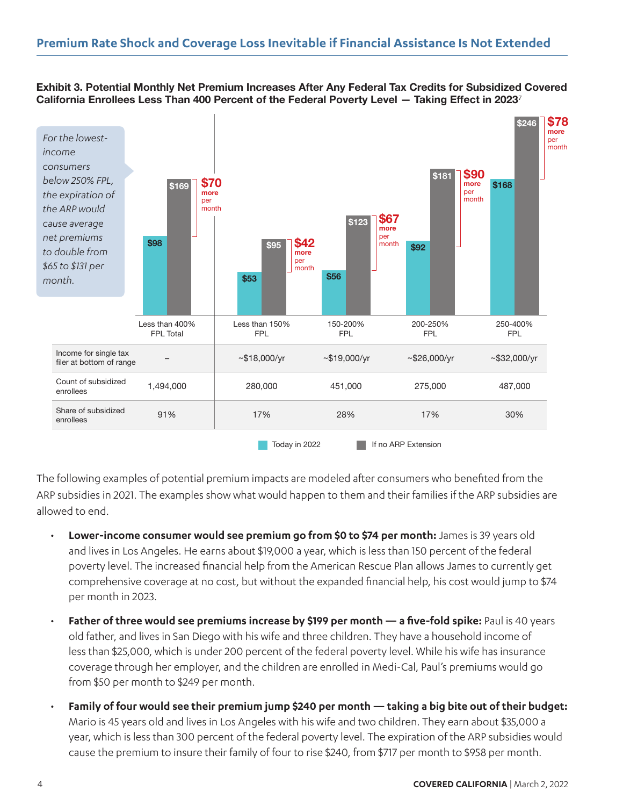#### **Exhibit 3. Potential Monthly Net Premium Increases After Any Federal Tax Credits for Subsidized Covered California Enrollees Less Than 400 Percent of the Federal Poverty Level — Taking Effect in 2023**<sup>7</sup>



The following examples of potential premium impacts are modeled after consumers who benefited from the ARP subsidies in 2021. The examples show what would happen to them and their families if the ARP subsidies are allowed to end.

- **Lower-income consumer would see premium go from \$0 to \$74 per month:** James is 39 years old and lives in Los Angeles. He earns about \$19,000 a year, which is less than 150 percent of the federal poverty level. The increased financial help from the American Rescue Plan allows James to currently get comprehensive coverage at no cost, but without the expanded financial help, his cost would jump to \$74 per month in 2023.
- **Father of three would see premiums increase by \$199 per month a five-fold spike:** Paul is 40 years old father, and lives in San Diego with his wife and three children. They have a household income of less than \$25,000, which is under 200 percent of the federal poverty level. While his wife has insurance coverage through her employer, and the children are enrolled in Medi-Cal, Paul's premiums would go from \$50 per month to \$249 per month.
- **Family of four would see their premium jump \$240 per month taking a big bite out of their budget:**  Mario is 45 years old and lives in Los Angeles with his wife and two children. They earn about \$35,000 a year, which is less than 300 percent of the federal poverty level. The expiration of the ARP subsidies would cause the premium to insure their family of four to rise \$240, from \$717 per month to \$958 per month.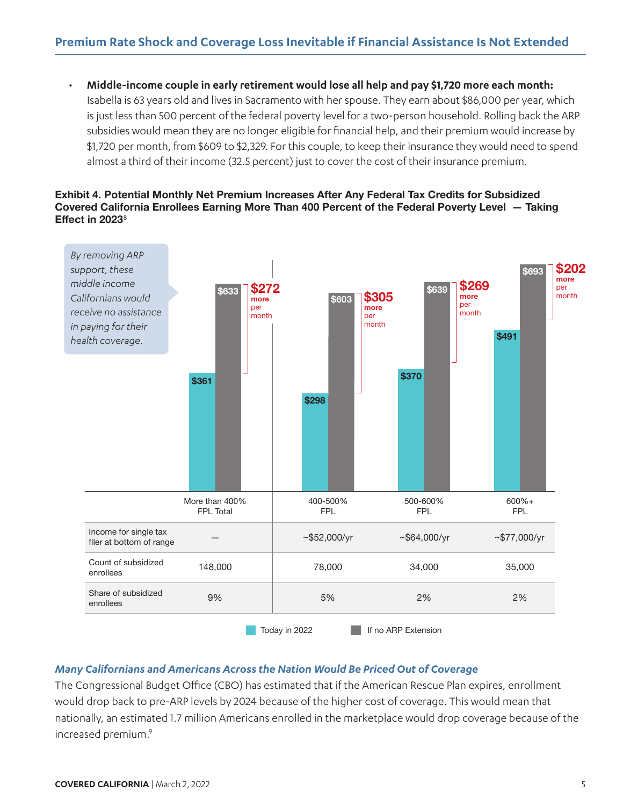<span id="page-4-0"></span>• **Middle-income couple in early retirement would lose all help and pay \$1,720 more each month:**  Isabella is 63 years old and lives in Sacramento with her spouse. They earn about \$86,000 per year, which is just less than 500 percent of the federal poverty level for a two-person household. Rolling back the ARP subsidies would mean they are no longer eligible for financial help, and their premium would increase by \$1,720 per month, from \$609 to \$2,329. For this couple, to keep their insurance they would need to spend almost a third of their income (32.5 percent) just to cover the cost of their insurance premium.

#### **Exhibit 4. Potential Monthly Net Premium Increases After Any Federal Tax Credits for Subsidized Covered California Enrollees Earning More Than 400 Percent of the Federal Poverty Level — Taking Effect in 2023**<sup>8</sup>



### *Many Californians and Americans Across the Nation Would Be Priced Out of Coverage*

The Congressional Budget Office (CBO) has estimated that if the American Rescue Plan expires, enrollment would drop back to pre-ARP levels by 2024 because of the higher cost of coverage. This would mean that nationally, an estimated 1.7 million Americans enrolled in the marketplace would drop coverage because of the increased premium.<sup>9</sup>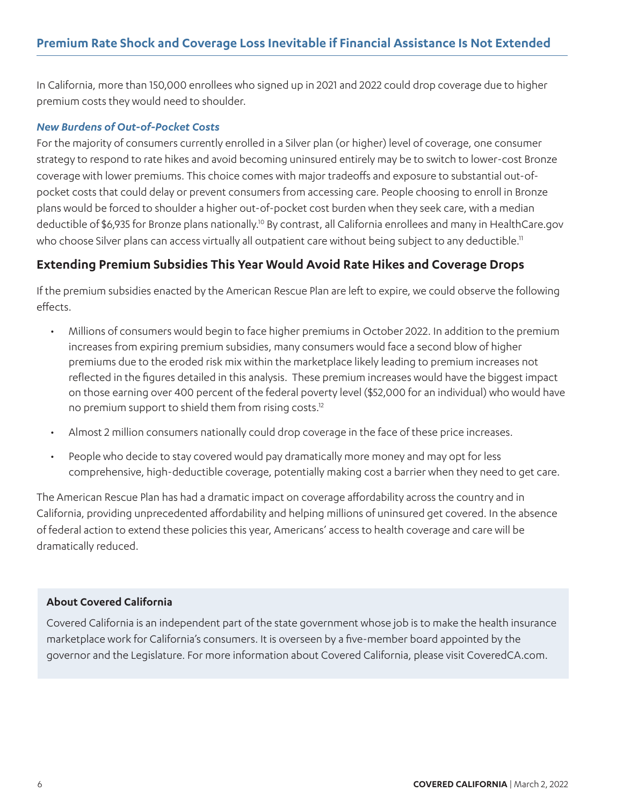<span id="page-5-0"></span>In California, more than 150,000 enrollees who signed up in 2021 and 2022 could drop coverage due to higher premium costs they would need to shoulder.

### *New Burdens of Out-of-Pocket Costs*

For the majority of consumers currently enrolled in a Silver plan (or higher) level of coverage, one consumer strategy to respond to rate hikes and avoid becoming uninsured entirely may be to switch to lower-cost Bronze coverage with lower premiums. This choice comes with major tradeoffs and exposure to substantial out-ofpocket costs that could delay or prevent consumers from accessing care. People choosing to enroll in Bronze plans would be forced to shoulder a higher out-of-pocket cost burden when they seek care, with a median deductible of \$6,935 for Bronze plans nationally[.10](#page-7-0) By contrast, all California enrollees and many in HealthCare.gov who choose Silver plans can access virtually all outpatient care without being subject to any deductible.<sup>11</sup>

# **Extending Premium Subsidies This Year Would Avoid Rate Hikes and Coverage Drops**

If the premium subsidies enacted by the American Rescue Plan are left to expire, we could observe the following effects.

- Millions of consumers would begin to face higher premiums in October 2022. In addition to the premium increases from expiring premium subsidies, many consumers would face a second blow of higher premiums due to the eroded risk mix within the marketplace likely leading to premium increases not reflected in the figures detailed in this analysis. These premium increases would have the biggest impact on those earning over 400 percent of the federal poverty level (\$52,000 for an individual) who would have no premium support to shield them from rising costs.<sup>12</sup>
- Almost 2 million consumers nationally could drop coverage in the face of these price increases.
- People who decide to stay covered would pay dramatically more money and may opt for less comprehensive, high-deductible coverage, potentially making cost a barrier when they need to get care.

The American Rescue Plan has had a dramatic impact on coverage affordability across the country and in California, providing unprecedented affordability and helping millions of uninsured get covered. In the absence of federal action to extend these policies this year, Americans' access to health coverage and care will be dramatically reduced.

### **About Covered California**

Covered California is an independent part of the state government whose job is to make the health insurance marketplace work for California's consumers. It is overseen by a five-member board appointed by the governor and the Legislature. For more information about Covered California, please visit CoveredCA.com.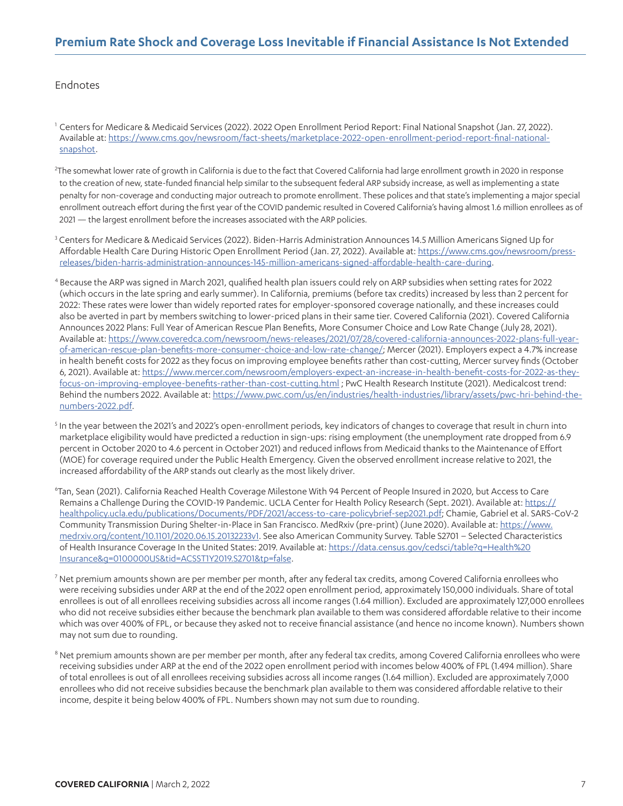## <span id="page-6-0"></span>**Premium Rate Shock and Coverage Loss Inevitable if Financial Assistance Is Not Extended**

#### Endnotes

[1](#page-0-0) Centers for Medicare & Medicaid Services (2022). 2022 Open Enrollment Period Report: Final National Snapshot (Jan. 27, 2022). Available at: [https://www.cms.gov/newsroom/fact-sheets/marketplace-2022-open-enrollment-period-report-final-national](https://www.cms.gov/newsroom/fact-sheets/marketplace-2022-open-enrollment-period-report-final-nation)[snapshot.](https://www.cms.gov/newsroom/fact-sheets/marketplace-2022-open-enrollment-period-report-final-nation)

[2](#page-1-0) The somewhat lower rate of growth in California is due to the fact that Covered California had large enrollment growth in 2020 in response to the creation of new, state-funded financial help similar to the subsequent federal ARP subsidy increase, as well as implementing a state penalty for non-coverage and conducting major outreach to promote enrollment. These polices and that state's implementing a major special enrollment outreach effort during the first year of the COVID pandemic resulted in Covered California's having almost 1.6 million enrollees as of 2021 — the largest enrollment before the increases associated with the ARP policies.

 $^3$  $^3$  Centers for Medicare & Medicaid Services (2022). Biden-Harris Administration Announces 14.5 Million Americans Signed Up for Affordable Health Care During Historic Open Enrollment Period (Jan. 27, 2022). Available at: [https://www.cms.gov/newsroom/press](https://www.cms.gov/newsroom/press-releases/biden-harris-administration-announces-145-million-americans-signed-affordable-health-care-during)[releases/biden-harris-administration-announces-145-million-americans-signed-affordable-health-care-during](https://www.cms.gov/newsroom/press-releases/biden-harris-administration-announces-145-million-americans-signed-affordable-health-care-during).

- [4](#page-1-0) Because the ARP was signed in March 2021, qualified health plan issuers could rely on ARP subsidies when setting rates for 2022 (which occurs in the late spring and early summer). In California, premiums (before tax credits) increased by less than 2 percent for 2022: These rates were lower than widely reported rates for employer-sponsored coverage nationally, and these increases could also be averted in part by members switching to lower-priced plans in their same tier. Covered California (2021). Covered California Announces 2022 Plans: Full Year of American Rescue Plan Benefits, More Consumer Choice and Low Rate Change (July 28, 2021). Available at: [https://www.coveredca.com/newsroom/news-releases/2021/07/28/covered-california-announces-2022-plans-full-year](https://www.coveredca.com/newsroom/news-releases/2021/07/28/covered-california-announces-2022-plans-full-year-of-american-rescue-plan-benefits-more-consumer-choice-and-low-rate-change/)[of-american-rescue-plan-benefits-more-consumer-choice-and-low-rate-change/](https://www.coveredca.com/newsroom/news-releases/2021/07/28/covered-california-announces-2022-plans-full-year-of-american-rescue-plan-benefits-more-consumer-choice-and-low-rate-change/); Mercer (2021). Employers expect a 4.7% increase in health benefit costs for 2022 as they focus on improving employee benefits rather than cost-cutting, Mercer survey finds (October 6, 2021). Available at: [https://www.mercer.com/newsroom/employers-expect-an-increase-in-health-benefit-costs-for-2022-as-they](https://www.mercer.com/newsroom/employers-expect-an-increase-in-health-benefit-costs-for-2022-as-they-focus-on-improving-employee-benefits-rather-than-cost-cutting.html)[focus-on-improving-employee-benefits-rather-than-cost-cutting.html](https://www.mercer.com/newsroom/employers-expect-an-increase-in-health-benefit-costs-for-2022-as-they-focus-on-improving-employee-benefits-rather-than-cost-cutting.html) ; PwC Health Research Institute (2021). Medicalcost trend: Behind the numbers 2022. Available at: [https://www.pwc.com/us/en/industries/health-industries/library/assets/pwc-hri-behind-the](https://www.pwc.com/us/en/industries/health-industries/library/assets/pwc-hri-behind-the-numbers-2022.pdf)[numbers-2022.pdf.](https://www.pwc.com/us/en/industries/health-industries/library/assets/pwc-hri-behind-the-numbers-2022.pdf)
- [5](#page-1-0) In the year between the 2021's and 2022's open-enrollment periods, key indicators of changes to coverage that result in churn into marketplace eligibility would have predicted a reduction in sign-ups: rising employment (the unemployment rate dropped from 6.9 percent in October 2020 to 4.6 percent in October 2021) and reduced inflows from Medicaid thanks to the Maintenance of Effort (MOE) for coverage required under the Public Health Emergency. Given the observed enrollment increase relative to 2021, the increased affordability of the ARP stands out clearly as the most likely driver.
- [6](#page-1-0) Tan, Sean (2021). California Reached Health Coverage Milestone With 94 Percent of People Insured in 2020, but Access to Care Remains a Challenge During the COVID-19 Pandemic. UCLA Center for Health Policy Research (Sept. 2021). Available at: [https://](https://healthpolicy.ucla.edu/publications/Documents/PDF/2021/access-to-care-policybrief-sep2021.pdf) [healthpolicy.ucla.edu/publications/Documents/PDF/2021/access-to-care-policybrief-sep2021.pdf](https://healthpolicy.ucla.edu/publications/Documents/PDF/2021/access-to-care-policybrief-sep2021.pdf); Chamie, Gabriel et al. SARS-CoV-2 Community Transmission During Shelter-in-Place in San Francisco. MedRxiv (pre-print) (June 2020). Available at: [https://www.](https://www.medrxiv.org/content/10.1101/2020.06.15.20132233v1) [medrxiv.org/content/10.1101/2020.06.15.20132233v1](https://www.medrxiv.org/content/10.1101/2020.06.15.20132233v1). See also American Community Survey. Table S2701 – Selected Characteristics of Health Insurance Coverage In the United States: 2019. Available at: [https://data.census.gov/cedsci/table?q=Health%20](https://data.census.gov/cedsci/table?q=Health%20Insurance&g=0100000US&tid=ACSST1Y2019.S2701&tp=false) [Insurance&g=0100000US&tid=ACSST1Y2019.S2701&tp=false](https://data.census.gov/cedsci/table?q=Health%20Insurance&g=0100000US&tid=ACSST1Y2019.S2701&tp=false).

[7](#page-4-0) Net premium amounts shown are per member per month, after any federal tax credits, among Covered California enrollees who were receiving subsidies under ARP at the end of the 2022 open enrollment period, approximately 150,000 individuals. Share of total enrollees is out of all enrollees receiving subsidies across all income ranges (1.64 million). Excluded are approximately 127,000 enrollees who did not receive subsidies either because the benchmark plan available to them was considered affordable relative to their income which was over 400% of FPL, or because they asked not to receive financial assistance (and hence no income known). Numbers shown may not sum due to rounding.

<sup>[8](#page-4-0)</sup> Net premium amounts shown are per member per month, after any federal tax credits, among Covered California enrollees who were receiving subsidies under ARP at the end of the 2022 open enrollment period with incomes below 400% of FPL (1.494 million). Share of total enrollees is out of all enrollees receiving subsidies across all income ranges (1.64 million). Excluded are approximately 7,000 enrollees who did not receive subsidies because the benchmark plan available to them was considered affordable relative to their income, despite it being below 400% of FPL. Numbers shown may not sum due to rounding.